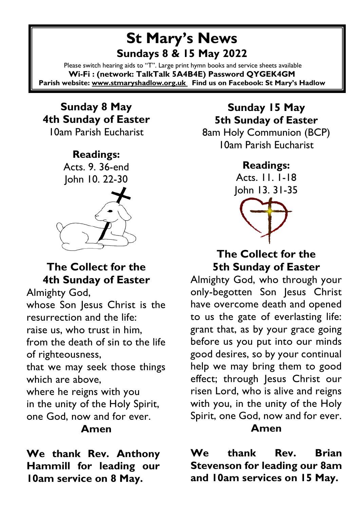# **St Mary's News Sundays 8 & 15 May 2022**

Please switch hearing aids to "T". Large print hymn books and service sheets available **Wi-Fi : (network: TalkTalk 5A4B4E) Password QYGEK4GM Parish website[: www.stmaryshadlow.org.uk](http://www.stmaryshadlow.org.uk/) Find us on Facebook: St Mary's Hadlow**

# **Sunday 8 May 4th Sunday of Easter**

10am Parish Eucharist

# **Readings:** Acts. 9. 36-end John 10. 22-30

## **The Collect for the 4th Sunday of Easter**

Almighty God,

whose Son Jesus Christ is the resurrection and the life: raise us, who trust in him, from the death of sin to the life of righteousness,

that we may seek those things which are above,

where he reigns with you in the unity of the Holy Spirit, one God, now and for ever.

#### **Amen**

**We thank Rev. Anthony Hammill for leading our 10am service on 8 May.** 

## **Sunday 15 May 5th Sunday of Easter**

8am Holy Communion (BCP) 10am Parish Eucharist

#### **Readings:**

Acts. 11. 1-18 John 13. 31-35



#### **The Collect for the 5th Sunday of Easter**

Almighty God, who through your only-begotten Son Jesus Christ have overcome death and opened to us the gate of everlasting life: grant that, as by your grace going before us you put into our minds good desires, so by your continual help we may bring them to good effect; through Jesus Christ our risen Lord, who is alive and reigns with you, in the unity of the Holy Spirit, one God, now and for ever. **Amen**

**We thank Rev. Brian Stevenson for leading our 8am and 10am services on 15 May.**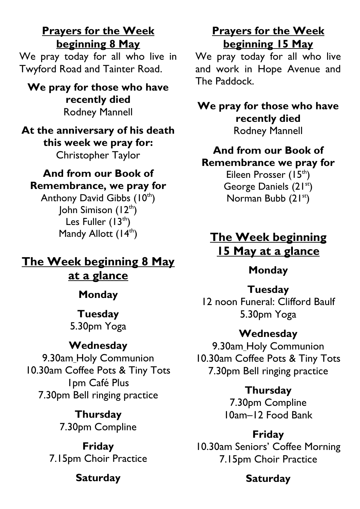**Prayers for the Week beginning 8 May**

We pray today for all who live in Twyford Road and Tainter Road.

**We pray for those who have recently died** Rodney Mannell

**At the anniversary of his death this week we pray for:** Christopher Taylor

#### **And from our Book of Remembrance, we pray for**

Anthony David Gibbs  $(10<sup>th</sup>)$ John Simison  $(12<sup>th</sup>)$ Les Fuller  $(13<sup>th</sup>)$ Mandy Allott (14<sup>th</sup>)

**The Week beginning 8 May at a glance**

**Monday**

#### **Tuesday** 5.30pm Yoga

#### **Wednesday**

9.30am Holy Communion 10.30am Coffee Pots & Tiny Tots 1pm Café Plus 7.30pm Bell ringing practice

> **Thursday** 7.30pm Compline

**Friday** 7.15pm Choir Practice

#### **Saturday**

#### **Prayers for the Week beginning 15 May**

We pray today for all who live and work in Hope Avenue and The Paddock.

**We pray for those who have recently died** Rodney Mannell

#### **And from our Book of Remembrance we pray for**

Eileen Prosser (15<sup>th</sup>) George Daniels (21<sup>st</sup>) Norman Bubb  $(21<sup>st</sup>)$ 

## **The Week beginning 15 May at a glance**

#### **Monday**

#### **Tuesday**

12 noon Funeral: Clifford Baulf 5.30pm Yoga

#### **Wednesday**

9.30am Holy Communion 10.30am Coffee Pots & Tiny Tots 7.30pm Bell ringing practice

> **Thursday** 7.30pm Compline 10am–12 Food Bank

#### **Friday** 10.30am Seniors' Coffee Morning 7.15pm Choir Practice

#### **Saturday**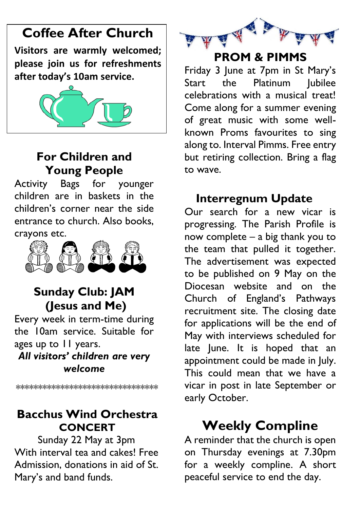# **Coffee After Church**

**Visitors are warmly welcomed; please join us for refreshments after today's 10am service.**



# **For Children and Young People**

Activity Bags for younger children are in baskets in the children's corner near the side entrance to church. Also books, crayons etc.



## **Sunday Club: JAM (Jesus and Me)**

Every week in term-time during the 10am service. Suitable for ages up to 11 years.

*All visitors' children are very welcome*

\*\*\*\*\*\*\*\*\*\*\*\*\*\*\*\*\*\*\*\*\*\*\*\*\*\*\*\*\*\*\*\*

# **Bacchus Wind Orchestra CONCERT**

Sunday 22 May at 3pm With interval tea and cakes! Free Admission, donations in aid of St. Mary's and band funds.



## **PROM & PIMMS**

Friday 3 June at 7pm in St Mary's Start the Platinum Iubilee celebrations with a musical treat! Come along for a summer evening of great music with some wellknown Proms favourites to sing along to. Interval Pimms. Free entry but retiring collection. Bring a flag to wave.

# **Interregnum Update**

Our search for a new vicar is progressing. The Parish Profile is now complete – a big thank you to the team that pulled it together. The advertisement was expected to be published on 9 May on the Diocesan website and on the Church of England's Pathways recruitment site. The closing date for applications will be the end of May with interviews scheduled for late June. It is hoped that an appointment could be made in July. This could mean that we have a vicar in post in late September or early October.

# **Weekly Compline**

A reminder that the church is open on Thursday evenings at 7.30pm for a weekly compline. A short peaceful service to end the day.